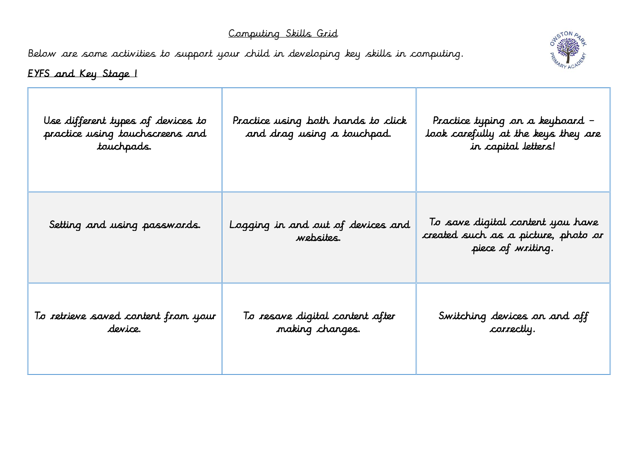## Computing Skills Grid

Below are some activities to support your child in developing key skills in computing.



## EYFS and Key Stage 1

| Use different types of devices to<br>practice using touchscreens and<br>touchpads. | Practice using both hands to click<br>and drag using a touchpad. | Practice typing on a keyboard –<br>look carefully at the keys they are<br>in capital letters! |
|------------------------------------------------------------------------------------|------------------------------------------------------------------|-----------------------------------------------------------------------------------------------|
| Setting and using passwords.                                                       | Logging in and out of devices and<br>websites.                   | To save digital content you have<br>created such as a picture, photo or<br>piece of writing.  |
| To retrieve saved content from your<br>device.                                     | To resave digital content after<br>making changes.               | Switching devices on and off<br>correctly.                                                    |